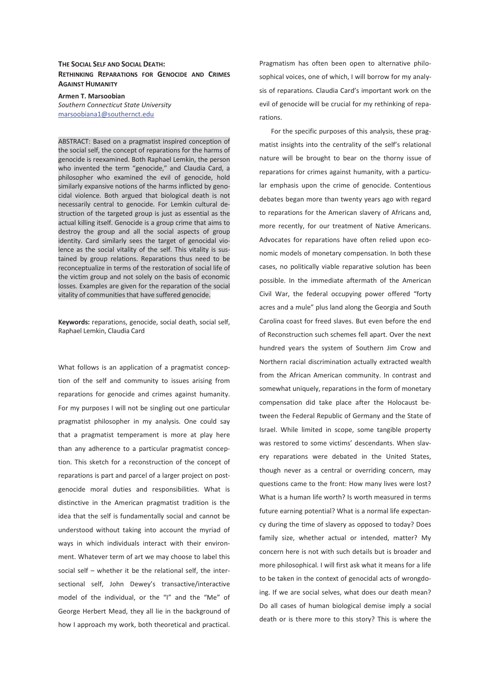## **THE SOCIAL SELF AND SOCIAL DEATH: RETHINKING REPARATIONS FOR GENOCIDE AND CRIMES AGAINST HUMANITY**

**Armen T. Marsoobian**  *Southern Connecticut State University*  marsoobiana1@southernct.edu

ABSTRACT: Based on a pragmatist inspired conception of the social self, the concept of reparations for the harms of genocide is reexamined. Both Raphael Lemkin, the person who invented the term "genocide," and Claudia Card, a philosopher who examined the evil of genocide, hold similarly expansive notions of the harms inflicted by genocidal violence. Both argued that biological death is not necessarily central to genocide. For Lemkin cultural destruction of the targeted group is just as essential as the actual killing itself. Genocide is a group crime that aims to destroy the group and all the social aspects of group identity. Card similarly sees the target of genocidal violence as the social vitality of the self. This vitality is sustained by group relations. Reparations thus need to be reconceptualize in terms of the restoration of social life of the victim group and not solely on the basis of economic losses. Examples are given for the reparation of the social vitality of communities that have suffered genocide.

**Keywords:** reparations, genocide, social death, social self, Raphael Lemkin, Claudia Card

What follows is an application of a pragmatist conception of the self and community to issues arising from reparations for genocide and crimes against humanity. For my purposes I will not be singling out one particular pragmatist philosopher in my analysis. One could say that a pragmatist temperament is more at play here than any adherence to a particular pragmatist conception. This sketch for a reconstruction of the concept of reparations is part and parcel of a larger project on postgenocide moral duties and responsibilities. What is distinctive in the American pragmatist tradition is the idea that the self is fundamentally social and cannot be understood without taking into account the myriad of ways in which individuals interact with their environment. Whatever term of art we may choose to label this social self – whether it be the relational self, the intersectional self, John Dewey's transactive/interactive model of the individual, or the "I" and the "Me" of George Herbert Mead, they all lie in the background of how I approach my work, both theoretical and practical.

Pragmatism has often been open to alternative philosophical voices, one of which, I will borrow for my analysis of reparations. Claudia Card's important work on the evil of genocide will be crucial for my rethinking of reparations.

For the specific purposes of this analysis, these pragmatist insights into the centrality of the self's relational nature will be brought to bear on the thorny issue of reparations for crimes against humanity, with a particular emphasis upon the crime of genocide. Contentious debates began more than twenty years ago with regard to reparations for the American slavery of Africans and, more recently, for our treatment of Native Americans. Advocates for reparations have often relied upon economic models of monetary compensation. In both these cases, no politically viable reparative solution has been possible. In the immediate aftermath of the American Civil War, the federal occupying power offered "forty acres and a mule" plus land along the Georgia and South Carolina coast for freed slaves. But even before the end of Reconstruction such schemes fell apart. Over the next hundred years the system of Southern Jim Crow and Northern racial discrimination actually extracted wealth from the African American community. In contrast and somewhat uniquely, reparations in the form of monetary compensation did take place after the Holocaust between the Federal Republic of Germany and the State of Israel. While limited in scope, some tangible property was restored to some victims' descendants. When slavery reparations were debated in the United States, though never as a central or overriding concern, may questions came to the front: How many lives were lost? What is a human life worth? Is worth measured in terms future earning potential? What is a normal life expectancy during the time of slavery as opposed to today? Does family size, whether actual or intended, matter? My concern here is not with such details but is broader and more philosophical. I will first ask what it means for a life to be taken in the context of genocidal acts of wrongdoing. If we are social selves, what does our death mean? Do all cases of human biological demise imply a social death or is there more to this story? This is where the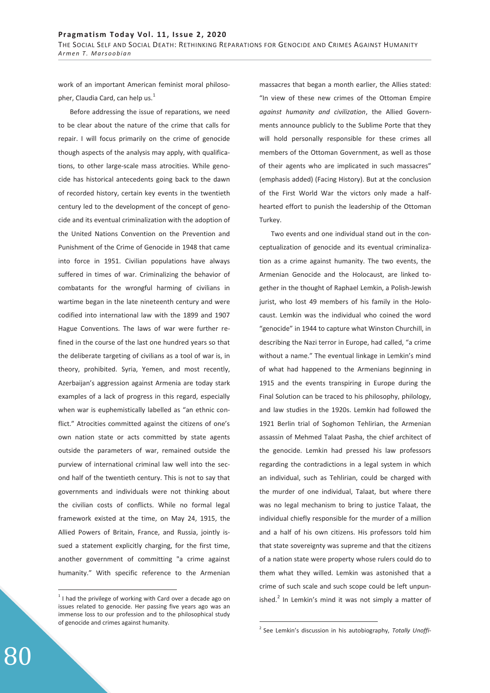work of an important American feminist moral philosopher, Claudia Card, can help us. $<sup>1</sup>$ </sup>

Before addressing the issue of reparations, we need to be clear about the nature of the crime that calls for repair. I will focus primarily on the crime of genocide though aspects of the analysis may apply, with qualifications, to other large-scale mass atrocities. While genocide has historical antecedents going back to the dawn of recorded history, certain key events in the twentieth century led to the development of the concept of genocide and its eventual criminalization with the adoption of the United Nations Convention on the Prevention and Punishment of the Crime of Genocide in 1948 that came into force in 1951. Civilian populations have always suffered in times of war. Criminalizing the behavior of combatants for the wrongful harming of civilians in wartime began in the late nineteenth century and were codified into international law with the 1899 and 1907 Hague Conventions. The laws of war were further refined in the course of the last one hundred years so that the deliberate targeting of civilians as a tool of war is, in theory, prohibited. Syria, Yemen, and most recently, Azerbaijan's aggression against Armenia are today stark examples of a lack of progress in this regard, especially when war is euphemistically labelled as "an ethnic conflict." Atrocities committed against the citizens of one's own nation state or acts committed by state agents outside the parameters of war, remained outside the purview of international criminal law well into the second half of the twentieth century. This is not to say that governments and individuals were not thinking about the civilian costs of conflicts. While no formal legal framework existed at the time, on May 24, 1915, the Allied Powers of Britain, France, and Russia, jointly issued a statement explicitly charging, for the first time, another government of committing "a crime against humanity." With specific reference to the Armenian

massacres that began a month earlier, the Allies stated: "In view of these new crimes of the Ottoman Empire *against humanity and civilization*, the Allied Governments announce publicly to the Sublime Porte that they will hold personally responsible for these crimes all members of the Ottoman Government, as well as those of their agents who are implicated in such massacres" (emphasis added) (Facing History). But at the conclusion of the First World War the victors only made a halfhearted effort to punish the leadership of the Ottoman Turkey.

Two events and one individual stand out in the conceptualization of genocide and its eventual criminalization as a crime against humanity. The two events, the Armenian Genocide and the Holocaust, are linked together in the thought of Raphael Lemkin, a Polish-Jewish jurist, who lost 49 members of his family in the Holocaust. Lemkin was the individual who coined the word "genocide" in 1944 to capture what Winston Churchill, in describing the Nazi terror in Europe, had called, "a crime without a name." The eventual linkage in Lemkin's mind of what had happened to the Armenians beginning in 1915 and the events transpiring in Europe during the Final Solution can be traced to his philosophy, philology, and law studies in the 1920s. Lemkin had followed the 1921 Berlin trial of Soghomon Tehlirian, the Armenian assassin of Mehmed Talaat Pasha, the chief architect of the genocide. Lemkin had pressed his law professors regarding the contradictions in a legal system in which an individual, such as Tehlirian, could be charged with the murder of one individual, Talaat, but where there was no legal mechanism to bring to justice Talaat, the individual chiefly responsible for the murder of a million and a half of his own citizens. His professors told him that state sovereignty was supreme and that the citizens of a nation state were property whose rulers could do to them what they willed. Lemkin was astonished that a crime of such scale and such scope could be left unpunished.<sup>2</sup> In Lemkin's mind it was not simply a matter of

-

 $\overline{a}$ 

 $1$  I had the privilege of working with Card over a decade ago on issues related to genocide. Her passing five years ago was an immense loss to our profession and to the philosophical study of genocide and crimes against humanity.

<sup>2</sup> See Lemkin's discussion in his autobiography, *Totally Unoffi-*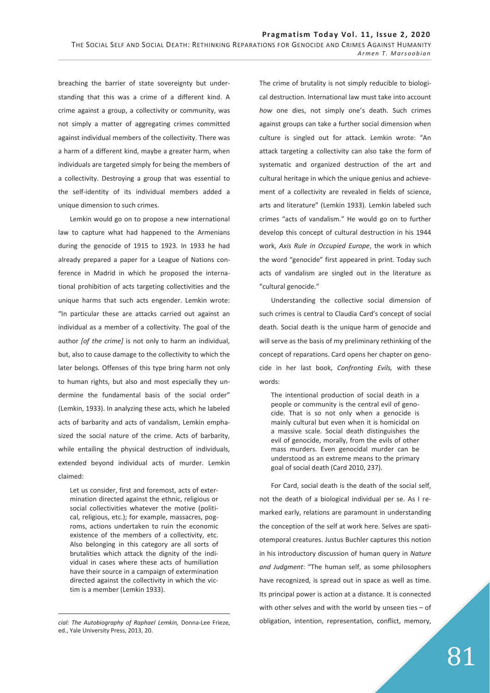breaching the barrier of state sovereignty but understanding that this was a crime of a different kind. A crime against a group, a collectivity or community, was not simply a matter of aggregating crimes committed against individual members of the collectivity. There was a harm of a different kind, maybe a greater harm, when individuals are targeted simply for being the members of a collectivity. Destroying a group that was essential to the self-identity of its individual members added a unique dimension to such crimes.

Lemkin would go on to propose a new international law to capture what had happened to the Armenians during the genocide of 1915 to 1923. In 1933 he had already prepared a paper for a League of Nations conference in Madrid in which he proposed the international prohibition of acts targeting collectivities and the unique harms that such acts engender. Lemkin wrote: "In particular these are attacks carried out against an individual as a member of a collectivity. The goal of the author *[of the crime]* is not only to harm an individual, but, also to cause damage to the collectivity to which the later belongs. Offenses of this type bring harm not only to human rights, but also and most especially they undermine the fundamental basis of the social order" (Lemkin, 1933). In analyzing these acts, which he labeled acts of barbarity and acts of vandalism, Lemkin emphasized the social nature of the crime. Acts of barbarity, while entailing the physical destruction of individuals, extended beyond individual acts of murder. Lemkin claimed:

Let us consider, first and foremost, acts of extermination directed against the ethnic, religious or social collectivities whatever the motive (political, religious, etc.); for example, massacres, pogroms, actions undertaken to ruin the economic existence of the members of a collectivity, etc. Also belonging in this category are all sorts of brutalities which attack the dignity of the individual in cases where these acts of humiliation have their source in a campaign of extermination directed against the collectivity in which the victim is a member (Lemkin 1933).

 $\overline{a}$ 

The crime of brutality is not simply reducible to biological destruction. International law must take into account *how* one dies, not simply one's death. Such crimes against groups can take a further social dimension when culture is singled out for attack. Lemkin wrote: "An attack targeting a collectivity can also take the form of systematic and organized destruction of the art and cultural heritage in which the unique genius and achievement of a collectivity are revealed in fields of science, arts and literature" (Lemkin 1933). Lemkin labeled such crimes "acts of vandalism." He would go on to further develop this concept of cultural destruction in his 1944 work, *Axis Rule in Occupied Europe*, the work in which the word "genocide" first appeared in print. Today such acts of vandalism are singled out in the literature as "cultural genocide."

Understanding the collective social dimension of such crimes is central to Claudia Card's concept of social death. Social death is the unique harm of genocide and will serve as the basis of my preliminary rethinking of the concept of reparations. Card opens her chapter on genocide in her last book, *Confronting Evils,* with these words:

The intentional production of social death in a people or community is the central evil of genocide. That is so not only when a genocide is mainly cultural but even when it is homicidal on a massive scale. Social death distinguishes the evil of genocide, morally, from the evils of other mass murders. Even genocidal murder can be understood as an extreme means to the primary goal of social death (Card 2010, 237).

For Card, social death is the death of the social self, not the death of a biological individual per se. As I remarked early, relations are paramount in understanding the conception of the self at work here. Selves are spatiotemporal creatures. Justus Buchler captures this notion in his introductory discussion of human query in *Nature and Judgment*: "The human self, as some philosophers have recognized, is spread out in space as well as time. Its principal power is action at a distance. It is connected with other selves and with the world by unseen ties  $-$  of obligation, intention, representation, conflict, memory,

*cial: The Autobiography of Raphael Lemkin,* Donna-Lee Frieze, ed., Yale University Press, 2013, 20.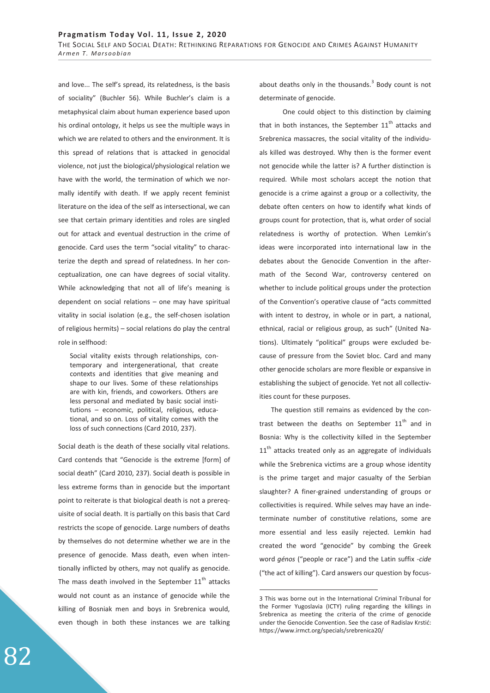and love... The self's spread, its relatedness, is the basis of sociality" (Buchler 56). While Buchler's claim is a metaphysical claim about human experience based upon his ordinal ontology, it helps us see the multiple ways in which we are related to others and the environment. It is this spread of relations that is attacked in genocidal violence, not just the biological/physiological relation we have with the world, the termination of which we normally identify with death. If we apply recent feminist literature on the idea of the self as intersectional, we can see that certain primary identities and roles are singled out for attack and eventual destruction in the crime of genocide. Card uses the term "social vitality" to characterize the depth and spread of relatedness. In her conceptualization, one can have degrees of social vitality. While acknowledging that not all of life's meaning is dependent on social relations – one may have spiritual vitality in social isolation (e.g., the self-chosen isolation of religious hermits) – social relations do play the central role in selfhood:

Social vitality exists through relationships, contemporary and intergenerational, that create contexts and identities that give meaning and shape to our lives. Some of these relationships are with kin, friends, and coworkers. Others are less personal and mediated by basic social institutions – economic, political, religious, educational, and so on. Loss of vitality comes with the loss of such connections (Card 2010, 237).

Social death is the death of these socially vital relations. Card contends that "Genocide is the extreme [form] of social death" (Card 2010, 237). Social death is possible in less extreme forms than in genocide but the important point to reiterate is that biological death is not a prerequisite of social death. It is partially on this basis that Card restricts the scope of genocide. Large numbers of deaths by themselves do not determine whether we are in the presence of genocide. Mass death, even when intentionally inflicted by others, may not qualify as genocide. The mass death involved in the September  $11<sup>th</sup>$  attacks would not count as an instance of genocide while the killing of Bosniak men and boys in Srebrenica would, even though in both these instances we are talking

about deaths only in the thousands. $3$  Body count is not determinate of genocide.

 One could object to this distinction by claiming that in both instances, the September  $11<sup>th</sup>$  attacks and Srebrenica massacres, the social vitality of the individuals killed was destroyed. Why then is the former event not genocide while the latter is? A further distinction is required. While most scholars accept the notion that genocide is a crime against a group or a collectivity, the debate often centers on how to identify what kinds of groups count for protection, that is, what order of social relatedness is worthy of protection. When Lemkin's ideas were incorporated into international law in the debates about the Genocide Convention in the aftermath of the Second War, controversy centered on whether to include political groups under the protection of the Convention's operative clause of "acts committed with intent to destroy, in whole or in part, a national, ethnical, racial or religious group, as such" (United Nations). Ultimately "political" groups were excluded because of pressure from the Soviet bloc. Card and many other genocide scholars are more flexible or expansive in establishing the subject of genocide. Yet not all collectivities count for these purposes.

The question still remains as evidenced by the contrast between the deaths on September  $11<sup>th</sup>$  and in Bosnia: Why is the collectivity killed in the September  $11<sup>th</sup>$  attacks treated only as an aggregate of individuals while the Srebrenica victims are a group whose identity is the prime target and major casualty of the Serbian slaughter? A finer-grained understanding of groups or collectivities is required. While selves may have an indeterminate number of constitutive relations, some are more essential and less easily rejected. Lemkin had created the word "genocide" by combing the Greek word *génos* ("people or race") and the Latin suffix -*cide*  ("the act of killing"). Card answers our question by focus-

 $\overline{a}$ 

<sup>3</sup> This was borne out in the International Criminal Tribunal for the Former Yugoslavia (ICTY) ruling regarding the killings in Srebrenica as meeting the criteria of the crime of genocide under the Genocide Convention. See the case of Radislav Krstić: https://www.irmct.org/specials/srebrenica20/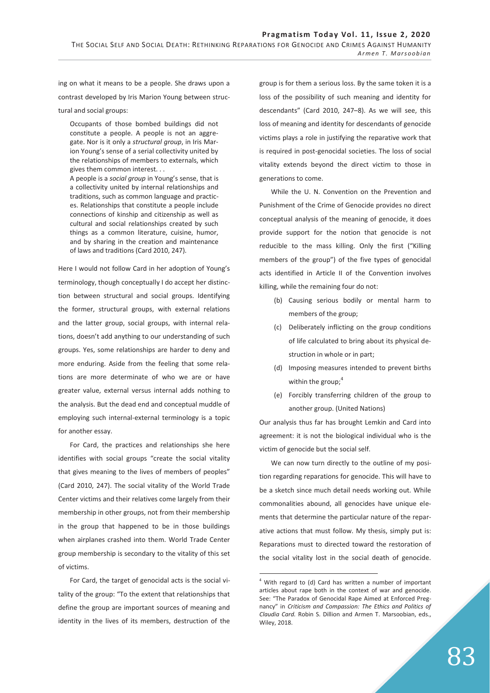ing on what it means to be a people. She draws upon a contrast developed by Iris Marion Young between structural and social groups:

Occupants of those bombed buildings did not constitute a people. A people is not an aggregate. Nor is it only a *structural group*, in Iris Marion Young's sense of a serial collectivity united by the relationships of members to externals, which gives them common interest. . .

A people is a *social group* in Young's sense, that is a collectivity united by internal relationships and traditions, such as common language and practices. Relationships that constitute a people include connections of kinship and citizenship as well as cultural and social relationships created by such things as a common literature, cuisine, humor, and by sharing in the creation and maintenance of laws and traditions (Card 2010, 247).

Here I would not follow Card in her adoption of Young's terminology, though conceptually I do accept her distinction between structural and social groups. Identifying the former, structural groups, with external relations and the latter group, social groups, with internal relations, doesn't add anything to our understanding of such groups. Yes, some relationships are harder to deny and more enduring. Aside from the feeling that some relations are more determinate of who we are or have greater value, external versus internal adds nothing to the analysis. But the dead end and conceptual muddle of employing such internal-external terminology is a topic for another essay.

For Card, the practices and relationships she here identifies with social groups "create the social vitality that gives meaning to the lives of members of peoples" (Card 2010, 247). The social vitality of the World Trade Center victims and their relatives come largely from their membership in other groups, not from their membership in the group that happened to be in those buildings when airplanes crashed into them. World Trade Center group membership is secondary to the vitality of this set of victims.

For Card, the target of genocidal acts is the social vitality of the group: "To the extent that relationships that define the group are important sources of meaning and identity in the lives of its members, destruction of the

group is for them a serious loss. By the same token it is a loss of the possibility of such meaning and identity for descendants" (Card 2010, 247–8). As we will see, this loss of meaning and identity for descendants of genocide victims plays a role in justifying the reparative work that is required in post-genocidal societies. The loss of social vitality extends beyond the direct victim to those in generations to come.

While the U. N. Convention on the Prevention and Punishment of the Crime of Genocide provides no direct conceptual analysis of the meaning of genocide, it does provide support for the notion that genocide is not reducible to the mass killing. Only the first ("Killing members of the group") of the five types of genocidal acts identified in Article II of the Convention involves killing, while the remaining four do not:

- (b) Causing serious bodily or mental harm to members of the group;
- (c) Deliberately inflicting on the group conditions of life calculated to bring about its physical destruction in whole or in part;
- (d) Imposing measures intended to prevent births within the group; $<sup>4</sup>$ </sup>
- (e) Forcibly transferring children of the group to another group. (United Nations)

Our analysis thus far has brought Lemkin and Card into agreement: it is not the biological individual who is the victim of genocide but the social self.

We can now turn directly to the outline of my position regarding reparations for genocide. This will have to be a sketch since much detail needs working out. While commonalities abound, all genocides have unique elements that determine the particular nature of the reparative actions that must follow. My thesis, simply put is: Reparations must to directed toward the restoration of the social vitality lost in the social death of genocide.

<sup>-</sup><sup>4</sup> With regard to (d) Card has written a number of important articles about rape both in the context of war and genocide. See: "The Paradox of Genocidal Rape Aimed at Enforced Pregnancy" in *Criticism and Compassion: The Ethics and Politics of Claudia Card.* Robin S. Dillion and Armen T. Marsoobian, eds., Wiley, 2018.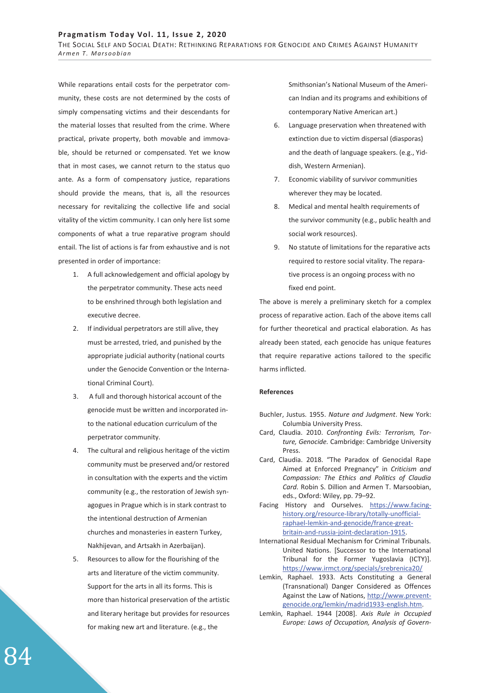THE SOCIAL SELF AND SOCIAL DEATH: RETHINKING REPARATIONS FOR GENOCIDE AND CRIMES AGAINST HUMANITY *Armen T. Marsoobian* 

While reparations entail costs for the perpetrator community, these costs are not determined by the costs of simply compensating victims and their descendants for the material losses that resulted from the crime. Where practical, private property, both movable and immovable, should be returned or compensated. Yet we know that in most cases, we cannot return to the status quo ante. As a form of compensatory justice, reparations should provide the means, that is, all the resources necessary for revitalizing the collective life and social vitality of the victim community. I can only here list some components of what a true reparative program should entail. The list of actions is far from exhaustive and is not presented in order of importance:

- 1. A full acknowledgement and official apology by the perpetrator community. These acts need to be enshrined through both legislation and executive decree.
- 2. If individual perpetrators are still alive, they must be arrested, tried, and punished by the appropriate judicial authority (national courts under the Genocide Convention or the International Criminal Court).
- 3. A full and thorough historical account of the genocide must be written and incorporated into the national education curriculum of the perpetrator community.
- 4. The cultural and religious heritage of the victim community must be preserved and/or restored in consultation with the experts and the victim community (e.g., the restoration of Jewish synagogues in Prague which is in stark contrast to the intentional destruction of Armenian churches and monasteries in eastern Turkey, Nakhijevan, and Artsakh in Azerbaijan).
- 5. Resources to allow for the flourishing of the arts and literature of the victim community. Support for the arts in all its forms. This is more than historical preservation of the artistic and literary heritage but provides for resources for making new art and literature. (e.g., the

Smithsonian's National Museum of the American Indian and its programs and exhibitions of contemporary Native American art.)

- 6. Language preservation when threatened with extinction due to victim dispersal (diasporas) and the death of language speakers. (e.g., Yiddish, Western Armenian).
- 7. Economic viability of survivor communities wherever they may be located.
- 8. Medical and mental health requirements of the survivor community (e.g., public health and social work resources).
- 9. No statute of limitations for the reparative acts required to restore social vitality. The reparative process is an ongoing process with no fixed end point.

The above is merely a preliminary sketch for a complex process of reparative action. Each of the above items call for further theoretical and practical elaboration. As has already been stated, each genocide has unique features that require reparative actions tailored to the specific harms inflicted.

## **References**

- Buchler, Justus. 1955. *Nature and Judgment*. New York: Columbia University Press.
- Card, Claudia. 2010. *Confronting Evils: Terrorism, Torture, Genocide.* Cambridge: Cambridge University Press.
- Card, Claudia. 2018. "The Paradox of Genocidal Rape Aimed at Enforced Pregnancy" in *Criticism and Compassion: The Ethics and Politics of Claudia Card.* Robin S. Dillion and Armen T. Marsoobian, eds., Oxford: Wiley, pp. 79–92.
- Facing History and Ourselves. https://www.facinghistory.org/resource-library/totally-unofficialraphael-lemkin-and-genocide/france-greatbritain-and-russia-joint-declaration-1915.
- International Residual Mechanism for Criminal Tribunals. United Nations. [Successor to the International Tribunal for the Former Yugoslavia (ICTY)]. https://www.irmct.org/specials/srebrenica20/
- Lemkin, Raphael. 1933. Acts Constituting a General (Transnational) Danger Considered as Offences Against the Law of Nations, http://www.preventgenocide.org/lemkin/madrid1933-english.htm.
- Lemkin, Raphael. 1944 [2008]. *Axis Rule in Occupied Europe: Laws of Occupation, Analysis of Govern-*